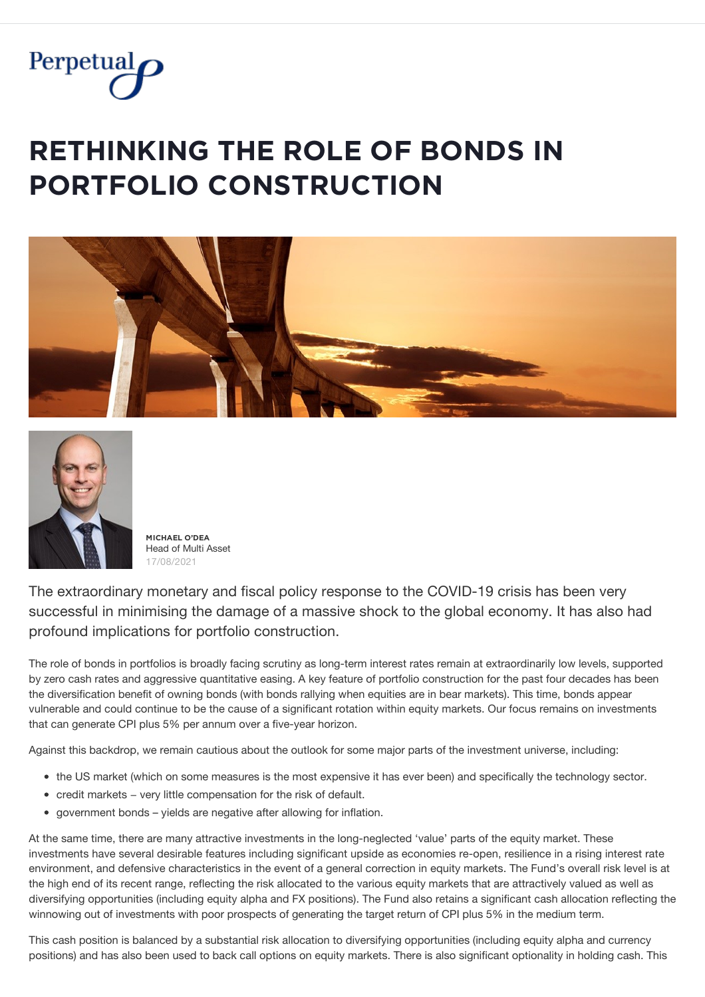

## $R$ **ETHINKING THE ROLE OF BONDS IN PORTFOLIO CONSTRUCTION**





**MICHAEL O'DEA** Head of Multi Asset 17/08/2021

The extraordinary monetary and fiscal policy response to the COVID-19 crisis has been very successful in minimising the damage of a massive shock to the global economy. It has also had profound implications for portfolio construction.

The role of bonds in portfolios is broadly facing scrutiny as long-term interest rates remain at extraordinarily low levels, supported by zero cash rates and aggressive quantitative easing. A key feature of portfolio construction for the past four decades has been the diversification benefit of owning bonds (with bonds rallying when equities are in bear markets). This time, bonds appear vulnerable and could continue to be the cause of a significant rotation within equity markets. Our focus remains on investments that can generate CPI plus 5% per annum over a five-year horizon.

Against this backdrop, we remain cautious about the outlook for some major parts of the investment universe, including:

- the US market (which on some measures is the most expensive it has ever been) and specifically the technology sector.
- credit markets − very little compensation for the risk of default.
- government bonds yields are negative after allowing for inflation.

At the same time, there are many attractive investments in the long-neglected 'value' parts of the equity market. These investments have several desirable features including significant upside as economies re-open, resilience in a rising interest rate environment, and defensive characteristics in the event of a general correction in equity markets. The Fund's overall risk level is at the high end of its recent range, reflecting the risk allocated to the various equity markets that are attractively valued as well as diversifying opportunities (including equity alpha and FX positions). The Fund also retains a significant cash allocation reflecting the winnowing out of investments with poor prospects of generating the target return of CPI plus 5% in the medium term.

This cash position is balanced by a substantial risk allocation to diversifying opportunities (including equity alpha and currency positions) and has also been used to back call options on equity markets. There is also significant optionality in holding cash. This